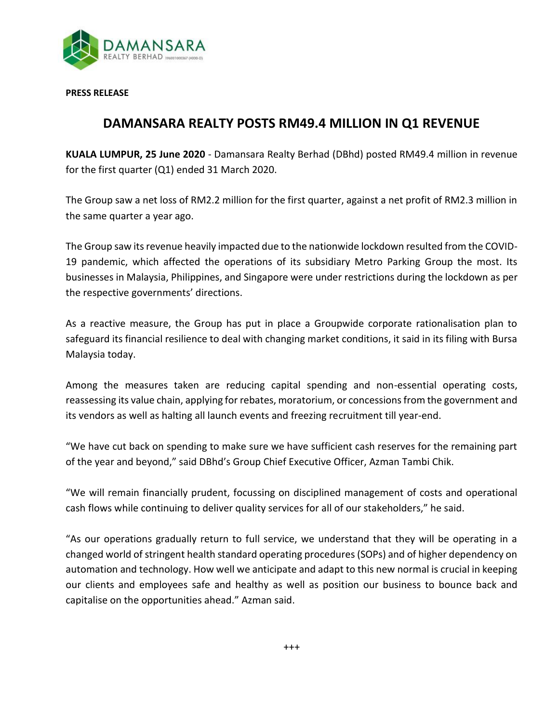

**PRESS RELEASE**

## **DAMANSARA REALTY POSTS RM49.4 MILLION IN Q1 REVENUE**

**KUALA LUMPUR, 25 June 2020** - Damansara Realty Berhad (DBhd) posted RM49.4 million in revenue for the first quarter (Q1) ended 31 March 2020.

The Group saw a net loss of RM2.2 million for the first quarter, against a net profit of RM2.3 million in the same quarter a year ago.

The Group saw its revenue heavily impacted due to the nationwide lockdown resulted from the COVID-19 pandemic, which affected the operations of its subsidiary Metro Parking Group the most. Its businesses in Malaysia, Philippines, and Singapore were under restrictions during the lockdown as per the respective governments' directions.

As a reactive measure, the Group has put in place a Groupwide corporate rationalisation plan to safeguard its financial resilience to deal with changing market conditions, it said in its filing with Bursa Malaysia today.

Among the measures taken are reducing capital spending and non-essential operating costs, reassessing its value chain, applying for rebates, moratorium, or concessions from the government and its vendors as well as halting all launch events and freezing recruitment till year-end.

"We have cut back on spending to make sure we have sufficient cash reserves for the remaining part of the year and beyond," said DBhd's Group Chief Executive Officer, Azman Tambi Chik.

"We will remain financially prudent, focussing on disciplined management of costs and operational cash flows while continuing to deliver quality services for all of our stakeholders," he said.

"As our operations gradually return to full service, we understand that they will be operating in a changed world of stringent health standard operating procedures (SOPs) and of higher dependency on automation and technology. How well we anticipate and adapt to this new normal is crucial in keeping our clients and employees safe and healthy as well as position our business to bounce back and capitalise on the opportunities ahead." Azman said.